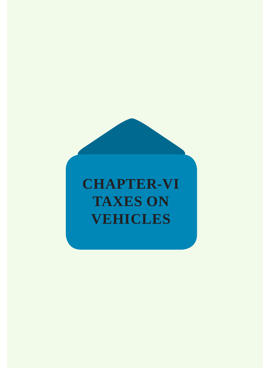# **CHAPTER-VI TAXES ON VEHICLES**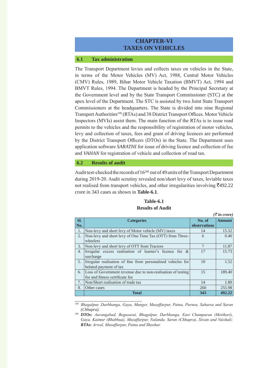# **CHAPTER-VI TAXES ON VEHICLES**

#### **6.1 Tax administration**

The Transport Department levies and collects taxes on vehicles in the State, in terms of the Motor Vehicles (MV) Act, 1988, Central Motor Vehicles (CMV) Rules, 1989, Bihar Motor Vehicle Taxation (BMVT) Act, 1994 and BMVT Rules, 1994. The Department is headed by the Principal Secretary at the Government level and by the State Transport Commissioner (STC) at the apex level of the Department. The STC is assisted by two Joint State Transport Commissioners at the headquarters. The State is divided into nine Regional Transport Authorities<sup>199</sup> (RTAs) and 38 District Transport Offices. Motor Vehicle Inspectors (MVIs) assist them. The main function of the RTAs is to issue road permits to the vehicles and the responsibility of registration of motor vehicles, levy and collection of taxes, fees and grant of driving licences are performed by the District Transport Officers (DTOs) in the State. The Department uses application software *SARATHI* for issue of driving licence and collection of fee and *VAHAN* for registration of vehicle and collection of road tax.

#### **6.2 Results of audit**

Audit test-checked the records of 16<sup>200</sup> out of 49 units of the Transport Department during 2019-20. Audit scrutiny revealed non/short levy of taxes, leviable taxes not realised from transport vehicles, and other irregularities involving  $\bar{\mathcal{A}}$ 492.22 crore in 343 cases as shown in **Table-6.1**.

| RESULTS OF AUGHT |                                                              |                       |               |
|------------------|--------------------------------------------------------------|-----------------------|---------------|
|                  |                                                              | $(\bar{z})$ in crore) |               |
| Sl.              | <b>Categories</b>                                            | No. of                | <b>Amount</b> |
| No.              |                                                              | observations          |               |
| 1.               | Non-levy and short levy of Motor vehicle (MV) taxes          | 14                    | 15.52         |
| 2.               | Non-levy and short levy of One Time Tax (OTT) from Three-    | 6                     | 0.40          |
|                  | wheelers                                                     |                       |               |
| 3.               | Non-levy and short levy of OTT from Tractors                 | 7                     | 11.87         |
| 4.               | Irregular excess realisation of learner's licence fee $\&$   | 17                    | 15.73         |
|                  | surcharge                                                    |                       |               |
| 5.               | Irregular realisation of fine from personalised vehicles for | 10                    | 1.52          |
|                  | belated payment of tax                                       |                       |               |
| 6.               | Loss of Government revenue due to non-realisation of testing | 15                    | 189.40        |
|                  | fee and fitness certificate fee                              |                       |               |
| 7.               | Non/Short realisation of trade tax                           | 14                    | 1.80          |
| 8.               | Other cases                                                  | 260                   | 255.98        |
|                  | <b>Total</b>                                                 | 343                   | 492.22        |

#### **Table-6.1 Results of Audit**

<sup>199</sup> *Bhagalpur, Darbhanga, Gaya, Munger, Muzaffarpur, Patna, Purnea, Saharsa and Saran (Chhapra).*

<sup>200</sup> *DTOs: Aurangabad, Begusarai, Bhagalpur, Darbhanga, East Champaran (Motihari), Gaya, Kaimur (Bhabhua), Muzaffarpur, Nalanda, Saran (Chhapra), Siwan and Vaishali; RTAs: Arwal, Muzaffarpur, Patna and Sheohar.*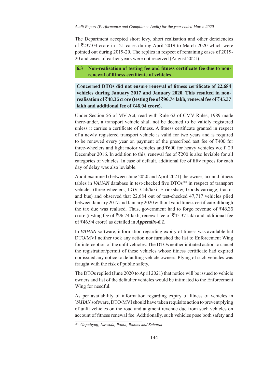The Department accepted short levy, short realisation and other deficiencies of `237.03 crore in 121 cases during April 2019 to March 2020 which were pointed out during 2019-20. The replies in respect of remaining cases of 2019- 20 and cases of earlier years were not received (August 2021).

# **6.3 Non-realisation of testing fee and fitness certificate fee due to nonrenewal of fitness certificate of vehicles**

**Concerned DTOs did not ensure renewal of fitness certificate of 22,684 vehicles during January 2017 and January 2020. This resulted in nonrealisation of** `**48.36 crore (testing fee of** `**96.74 lakh, renewal fee of** `**45.37 lakh and additional fee of** `**46.94 crore).**

Under Section 56 of MV Act, read with Rule 62 of CMV Rules, 1989 made there-under, a transport vehicle shall not be deemed to be validly registered unless it carries a certificate of fitness. A fitness certificate granted in respect of a newly registered transport vehicle is valid for two years and is required to be renewed every year on payment of the prescribed test fee of  $\overline{\xi}400$  for three-wheelers and light motor vehicles and  $\overline{600}$  for heavy vehicles w.e.f. 29 December 2016. In addition to this, renewal fee of  $\overline{2000}$  is also leviable for all categories of vehicles. In case of default, additional fee of fifty rupees for each day of delay was also leviable.

Audit examined (between June 2020 and April 2021) the owner, tax and fitness tables in *VAHAN* database in test-checked five DTOs<sup>201</sup> in respect of transport vehicles (three wheelers, LGV, Cab/taxi, E-rickshaw, Goods carriage, tractor and bus) and observed that 22,684 out of test-checked 47,717 vehicles plied between January 2017 and January 2020 without valid fitness certificate although the tax due was realised. Thus, government had to forgo revenue of  $\overline{5}48.36$ crore (testing fee of  $\overline{5}96.74$  lakh, renewal fee of  $\overline{5}45.37$  lakh and additional fee of `46.94 crore) as detailed in *Appendix-6.1***.**

In *VAHAN* software, information regarding expiry of fitness was available but DTO/MVI neither took any action nor furnished the list to Enforcement Wing for interception of the unfit vehicles. The DTOs neither initiated action to cancel the registration/permit of these vehicles whose fitness certificate had expired nor issued any notice to defaulting vehicle owners. Plying of such vehicles was fraught with the risk of public safety.

The DTOs replied (June 2020 to April 2021) that notice will be issued to vehicle owners and list of the defaulter vehicles would be intimated to the Enforcement Wing for needful.

As per availability of information regarding expiry of fitness of vehicles in *VAHAN* software, DTO/MVI should have taken requisite action to prevent plying of unfit vehicles on the road and augment revenue due from such vehicles on account of fitness renewal fee. Additionally, such vehicles pose both safety and

<sup>201</sup> *Gopalganj, Nawada, Patna, Rohtas and Saharsa*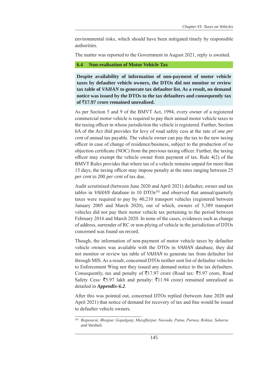environmental risks, which should have been mitigated timely by responsible authorities.

The matter was reported to the Government in August 2021, reply is awaited.

# **6.4 Non-realisation of Motor Vehicle Tax**

**Despite availability of information of non-payment of motor vehicle taxes by defaulter vehicle owners, the DTOs did not monitor or review tax table of** *VAHAN* **to generate tax defaulter list. As a result, no demand notice was issued by the DTOs to the tax defaulters and consequently tax of** `**17.97 crore remained unrealised.**

As per Section 5 and 9 of the BMVT Act, 1994, every owner of a registered commercial motor vehicle is required to pay their annual motor vehicle taxes to the taxing officer in whose jurisdiction the vehicle is registered. Further, Section 6A of the Act *ibid* provides for levy of road safety cess at the rate of one *per cent* of annual tax payable. The vehicle owner can pay the tax to the new taxing officer in case of change of residence/business, subject to the production of no objection certificate (NOC) from the previous taxing officer. Further, the taxing officer may exempt the vehicle owner from payment of tax. Rule 4(2) of the BMVT Rules provides that where tax of a vehicle remains unpaid for more than 15 days, the taxing officer may impose penalty at the rates ranging between 25 *per cent* to 200 *per cent* of tax due.

Audit scrutinised (between June 2020 and April 2021) defaulter, owner and tax tables in *VAHAN* database in 10 DTOs<sup>202</sup> and observed that annual/quarterly taxes were required to pay by 40,210 transport vehicles (registered between January 2005 and March 2020), out of which, owners of 5,389 transport vehicles did not pay their motor vehicle tax pertaining to the period between February 2016 and March 2020. In none of the cases, evidences such as change of address, surrender of RC or non-plying of vehicle in the jurisdiction of DTOs concerned was found on record.

Though, the information of non-payment of motor vehicle taxes by defaulter vehicle owners was available with the DTOs in *VAHAN* database, they did not monitor or review tax table of *VAHAN* to generate tax from defaulter list through MIS. As a result, concerned DTOs neither sent list of defaulter vehicles to Enforcement Wing nor they issued any demand notice to the tax defaulters. Consequently, tax and penalty of  $\bar{\tau}$ 17.97 crore (Road tax:  $\bar{\tau}$ 5.97 crore, Road Safety Cess:  $\overline{55.97}$  lakh and penalty:  $\overline{511.94}$  crore) remained unrealised as detailed in *Appendix-6.2*.

After this was pointed out, concerned DTOs replied (between June 2020 and April 2021) that notice of demand for recovery of tax and fine would be issued to defaulter vehicle owners.

<sup>202</sup> *Begusarai, Bhojpur, Gopalganj, Muzaffarpur, Nawada, Patna, Purnea, Rohtas, Saharsa and Vaishali.*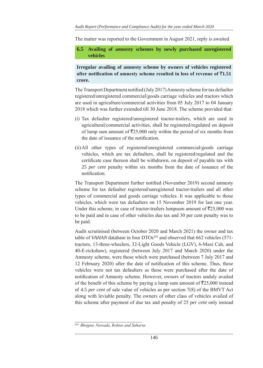The matter was reported to the Government in August 2021, reply is awaited.

**6.5 Availing of amnesty schemes by newly purchased unregistered vehicles**

**Irregular availing of amnesty scheme by owners of vehicles registered**  after notification of amnesty scheme resulted in loss of revenue of  $\bar{c}1.51$ **crore.**

The Transport Department notified (July 2017) Amnesty scheme for tax defaulter registered/unregistered commercial/goods carriage vehicles and tractors which are used in agriculture/commercial activities from 05 July 2017 to 04 January 2018 which was further extended till 30 June 2018. The scheme provided that:

- (i) Tax defaulter registered/unregistered tractor-trailers, which are used in agricultural/commercial activities, shall be registered/regulated on deposit of lump sum amount of  $\overline{5}25,000$  only within the period of six months from the date of issuance of the notification.
- (ii)All other types of registered/unregistered commercial/goods carriage vehicles, which are tax defaulters, shall be registered/regulated and the certificate case thereon shall be withdrawn, on deposit of payable tax with 25 *per cent* penalty within six months from the date of issuance of the notification.

The Transport Department further notified (November 2019) second amnesty scheme for tax defaulter registered/unregistered tractor-trailers and all other types of commercial and goods carriage vehicles. It was applicable to those vehicles, which were tax defaulters on 15 November 2019 for last one year. Under this scheme, in case of tractor-trailers lumpsum amount of  $\overline{525,000}$  was to be paid and in case of other vehicles due tax and 30 per cent penalty was to be paid.

Audit scrutinised (between October 2020 and March 2021) the owner and tax table of *VAHAN* database in four DTOs<sup>203</sup> and observed that 662 vehicles (571tractors, 13-three-wheelers, 32-Light Goods Vehicle (LGV), 6-Maxi Cab, and 40-E-rickshaw), registered (between July 2017 and March 2020) under the Amnesty scheme, were those which were purchased (between 7 July 2017 and 12 February 2020) after the date of notification of this scheme. Thus, these vehicles were not tax defaulters as these were purchased after the date of notification of Amnesty scheme. However, owners of tractors unduly availed of the benefit of this scheme by paying a lump sum amount of  $\overline{525,000}$  instead of 4.5 *per cent* of sale value of vehicles as per section 7(8) of the BMVT Act along with leviable penalty. The owners of other class of vehicles availed of this scheme after payment of due tax and penalty of 25 *per cent* only instead

<sup>203</sup> *Bhojpur, Nawada, Rohtas and Saharsa*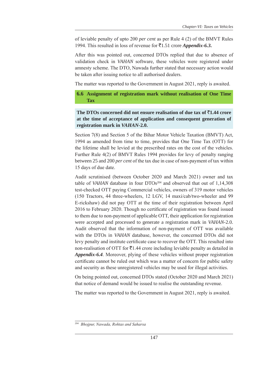of leviable penalty of upto 200 *per cent* as per Rule 4 (2) of the BMVT Rules 1994. This resulted in loss of revenue for `1.51 crore *Appendix-6.3***.**

After this was pointed out, concerned DTOs replied that due to absence of validation check in *VAHAN* software, these vehicles were registered under amnesty scheme. The DTO, Nawada further stated that necessary action would be taken after issuing notice to all authorised dealers.

The matter was reported to the Government in August 2021, reply is awaited.

**6.6 Assignment of registration mark without realisation of One Time Tax**

**The DTOs concerned did not ensure realisation of due tax of**  $\bar{\tau}$ **1.44 crore at the time of acceptance of application and consequent generation of registration mark in** *VAHAN-***2.0.**

Section 7(8) and Section 5 of the Bihar Motor Vehicle Taxation (BMVT) Act, 1994 as amended from time to time, provides that One Time Tax (OTT) for the lifetime shall be levied at the prescribed rates on the cost of the vehicles. Further Rule 4(2) of BMVT Rules 1994 provides for levy of penalty ranging between 25 and 200 *per cent* of the tax due in case of non-payment of tax within 15 days of due date.

Audit scrutinised (between October 2020 and March 2021) owner and tax table of *VAHAN* database in four DTOs<sup>204</sup> and observed that out of 1,14,308 test-checked OTT paying Commercial vehicles, owners of 319 motor vehicles (150 Tractors, 44 three-wheelers, 12 LGV, 14 maxi/cab/two-wheeler and 99 E-rickshaw) did not pay OTT at the time of their registration between April 2016 to February 2020. Though no certificate of registration was found issued to them due to non-payment of applicable OTT, their application for registration were accepted and processed to generate a registration mark in *VAHAN-*2.0. Audit observed that the information of non-payment of OTT was available with the DTOs in *VAHAN* database, however, the concerned DTOs did not levy penalty and institute certificate case to recover the OTT. This resulted into non-realisation of OTT for  $\bar{\tau}$ 1.44 crore including leviable penalty as detailed in *Appendix-6.4*. Moreover, plying of these vehicles without proper registration certificate cannot be ruled out which was a matter of concern for public safety and security as these unregistered vehicles may be used for illegal activities.

On being pointed out, concerned DTOs stated (October 2020 and March 2021) that notice of demand would be issued to realise the outstanding revenue.

The matter was reported to the Government in August 2021, reply is awaited.

<sup>204</sup> *Bhojpur, Nawada, Rohtas and Saharsa*